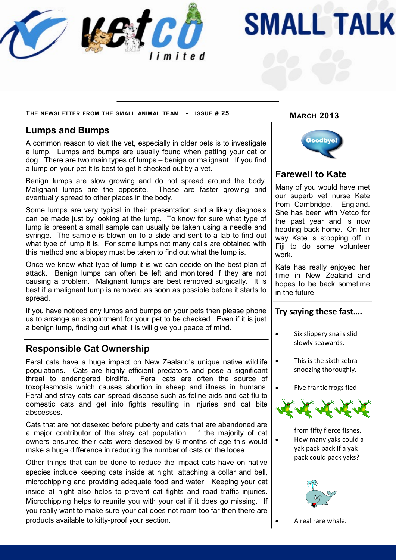

# **SMALL TALK**

**MARCH 2013 <sup>T</sup>HE NEWSLETTER FROM THE SMALL ANIMAL TEAM - ISSUE # 25**

### **Lumps and Bumps**

A common reason to visit the vet, especially in older pets is to investigate a lump. Lumps and bumps are usually found when patting your cat or dog. There are two main types of lumps – benign or malignant. If you find a lump on your pet it is best to get it checked out by a vet.

Benign lumps are slow growing and do not spread around the body. Malignant lumps are the opposite. These are faster growing and eventually spread to other places in the body.

Some lumps are very typical in their presentation and a likely diagnosis can be made just by looking at the lump. To know for sure what type of lump is present a small sample can usually be taken using a needle and syringe. The sample is blown on to a slide and sent to a lab to find out what type of lump it is. For some lumps not many cells are obtained with this method and a biopsy must be taken to find out what the lump is.

Once we know what type of lump it is we can decide on the best plan of attack. Benign lumps can often be left and monitored if they are not causing a problem. Malignant lumps are best removed surgically. It is best if a malignant lump is removed as soon as possible before it starts to spread.

If you have noticed any lumps and bumps on your pets then please phone us to arrange an appointment for your pet to be checked. Even if it is just a benign lump, finding out what it is will give you peace of mind.

### **Responsible Cat Ownership**

Feral cats have a huge impact on New Zealand's unique native wildlife populations. Cats are highly efficient predators and pose a significant threat to endangered birdlife. Feral cats are often the source of toxoplasmosis which causes abortion in sheep and illness in humans. Feral and stray cats can spread disease such as feline aids and cat flu to domestic cats and get into fights resulting in injuries and cat bite abscesses.

Cats that are not desexed before puberty and cats that are abandoned are a major contributor of the stray cat population. If the majority of cat owners ensured their cats were desexed by 6 months of age this would make a huge difference in reducing the number of cats on the loose.

Other things that can be done to reduce the impact cats have on native species include keeping cats inside at night, attaching a collar and bell, microchipping and providing adequate food and water. Keeping your cat inside at night also helps to prevent cat fights and road traffic injuries. Microchipping helps to reunite you with your cat if it does go missing. If you really want to make sure your cat does not roam too far then there are products available to kitty-proof your section.



## **Farewell to Kate**

Many of you would have met our superb vet nurse Kate from Cambridge, England. She has been with Vetco for the past year and is now heading back home. On her way Kate is stopping off in Fiii to do some volunteer work.

Kate has really enjoyed her time in New Zealand and hopes to be back sometime in the future.

#### **Try saying these fast….**

- Six slippery snails slid slowly seawards.
- This is the sixth zebra snoozing thoroughly.
- Five frantic frogs fled



from fifty fierce fishes. How many yaks could a yak pack pack if a yak pack could pack yaks?



A real rare whale.